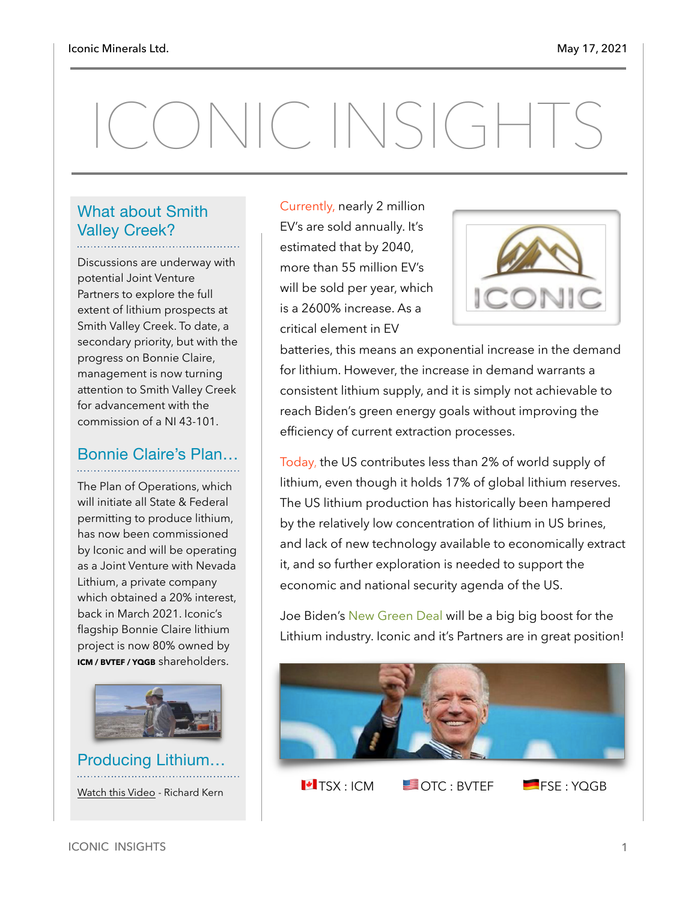# ONIC INSIGHTS

#### What about Smith Valley Creek?

Discussions are underway with potential Joint Venture Partners to explore the full extent of lithium prospects at Smith Valley Creek. To date, a secondary priority, but with the progress on Bonnie Claire, management is now turning attention to Smith Valley Creek for advancement with the commission of a NI 43-101.

#### Bonnie Claire's Plan…

The Plan of Operations, which will initiate all State & Federal permitting to produce lithium, has now been commissioned by Iconic and will be operating as a Joint Venture with Nevada Lithium, a private company which obtained a 20% interest, back in March 2021. Iconic's flagship Bonnie Claire lithium project is now 80% owned by **ICM / BVTEF / YQGB** shareholders.



Producing Lithium… [Watch this Video](https://www.youtube.com/watch?v=Sjzevmiw9uQ) - Richard Kern

Currently, nearly 2 million EV's are sold annually. It's estimated that by 2040, more than 55 million EV's will be sold per year, which is a 2600% increase. As a critical element in EV



batteries, this means an exponential increase in the demand for lithium. However, the increase in demand warrants a consistent lithium supply, and it is simply not achievable to reach Biden's green energy goals without improving the efficiency of current extraction processes.

Today, the US contributes less than 2% of world supply of lithium, even though it holds 17% of global lithium reserves. The US lithium production has historically been hampered by the relatively low concentration of lithium in US brines, and lack of new technology available to economically extract it, and so further exploration is needed to support the economic and national security agenda of the US.

Joe Biden's New Green Deal will be a big big boost for the Lithium industry. Iconic and it's Partners are in great position!